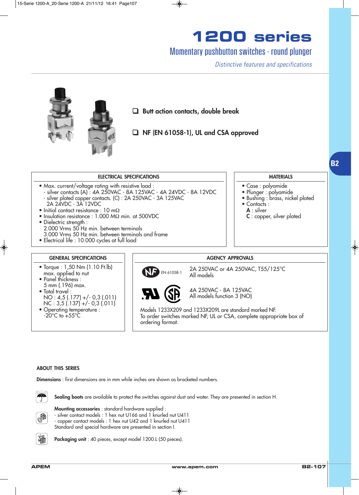## Momentary pushbutton switches - round plunger

Distinctive features and specifications

• Case : polyamide • Plunger : polyamide

• Contacts : A : silver

· Bushing : brass, nickel plated

C : copper, silver plated



#### ELECTRICAL SPECIFICATIONS

- Max. current/voltage rating with resistive load :
- silver contacts (A) : 4A 250VAC 8A 125VAC 4A 24VDC 8A 12VDC - silver plated copper contacts. (C) : 2A 250VAC - 3A 125VAC
- 2A 24VDC 3A 12VDC • Initial contact resistance : 10 mΩ
- Insulation resistance : 1.000 MΩ min. at 500VDC
- Dielectric strength :
- 2.000 Vrms 50 Hz min. between terminals
- 3.000 Vrms 50 Hz min. between terminals and frame
- Electrical life : 10.000 cycles at full load

#### GENERAL SPECIFICATIONS

- Torque : 1,50 Nm (1.10 Ft.lb) max. applied to nut
- Panel thickness : 5 mm (.196) max. • Total travel : NO : 4,5 (.177) +/- 0,3 (.011)  $NC: 3,5(.137) + (-0.3(.011)$
- Operating temperature :  $-20^{\circ}$ C to  $+55^{\circ}$ C

#### AGENCY APPROVALS



2A 250VAC or 4A 250VAC, T55/125°C All models



4A 250VAC - 8A 125VAC All models function 3 (NO)

Models 1233X209 and 1233X209L are standard marked NF. To order switches marked NF, UL or CSA, complete appropriate box of ordering format.

#### ABOUT THIS SERIES

Dimensions : first dimensions are in mm while inches are shown as bracketed numbers.



Sealing boots are available to protect the switches against dust and water. They are presented in section H.



Mounting accessories : standard hardware supplied :

- silver contact models : 1 hex nut U166 and 1 knurled nut U411 - copper contact models : 1 hex nut U42 and 1 knurled nut U411

Standard and special hardware are presented in section I.



Packaging unit : 40 pieces, except model 1200.L (50 pieces).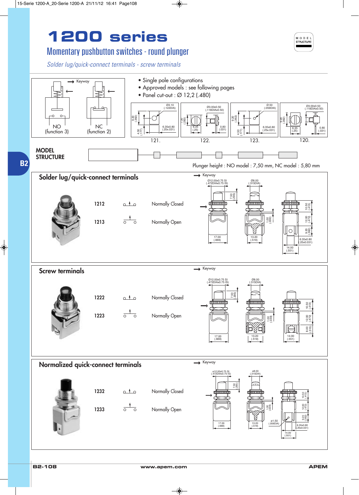## Momentary pushbutton switches - round plunger

Solder lug/quick-connect terminals - screw terminals



MODEL STRUCTURE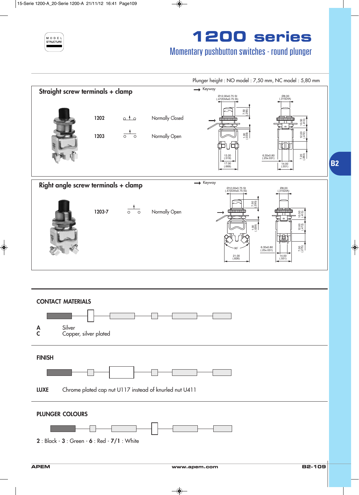

## Momentary pushbutton switches - round plunger

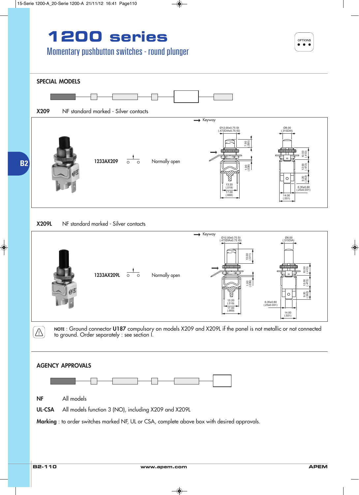## Momentary pushbutton switches - round plunger



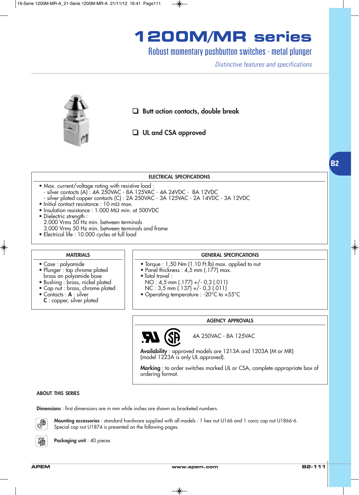## **1200M/MR series**

### Robust momentary pushbutton switches - metal plunger

Distinctive features and specifications



#### ELECTRICAL SPECIFICATIONS

- Max. current/voltage rating with resistive load : - silver contacts (A) : 4A 250VAC - 8A 125VAC - 4A 24VDC - 8A 12VDC
	- silver plated copper contacts (C) : 2A 250VAC 3A 125VAC 2A 14VDC 3A 12VDC
- Initial contact resistance : 10 mΩ max.
- Insulation resistance : 1.000 MΩ min. at 500VDC
- Dielectric strength : 2.000 Vrms 50 Hz min. between terminals 3.000 Vrms 50 Hz min. between terminals and frame
- Electrical life : 10.000 cycles at full load

### **MATERIALS**

• Plunger : top chrome plated brass on polyamide base • Bushing : brass, nickel plated • Cap nut : brass, chrome plated

• Case : polyamide

• Contacts : A : silver C : copper, silver plated

### GENERAL SPECIFICATIONS

- Torque : 1,50 Nm (1.10 Ft.lb) max. applied to nut
- Panel thickness : 4,5 mm (.177) max.
- Total travel :
- NO : 4,5 mm (.177) +/- 0,3 (.011)
- NC :  $3,5$  mm  $(.137) +/- 0,3(.011)$
- Operating temperature : -20°C to +55°C

#### AGENCY APPROVALS

97

4A 250VAC - 8A 125VAC

Availability : approved models are 1213A and 1203A (M or MR) (model 1223A is only UL approved).

Marking : to order switches marked UL or CSA, complete appropriate box of ordering format.

#### ABOUT THIS SERIES

Dimensions : first dimensions are in mm while inches are shown as bracketed numbers.



Mounting accessories : standard hardware supplied with all models : 1 hex nut U166 and 1 conic cap nut U1866-6. Special cap nut U1874 is presented on the following pages.

Packaging unit: 40 pieces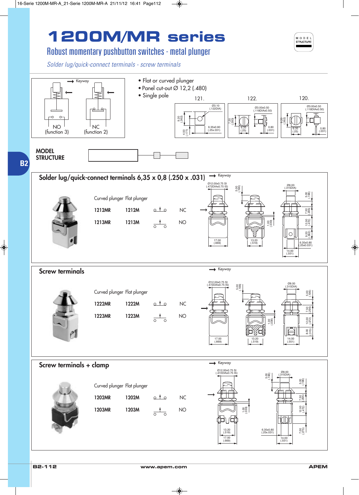# **1200M/MR series**



## Robust momentary pushbutton switches - metal plunger

Solder lug/quick-connect terminals - screw terminals